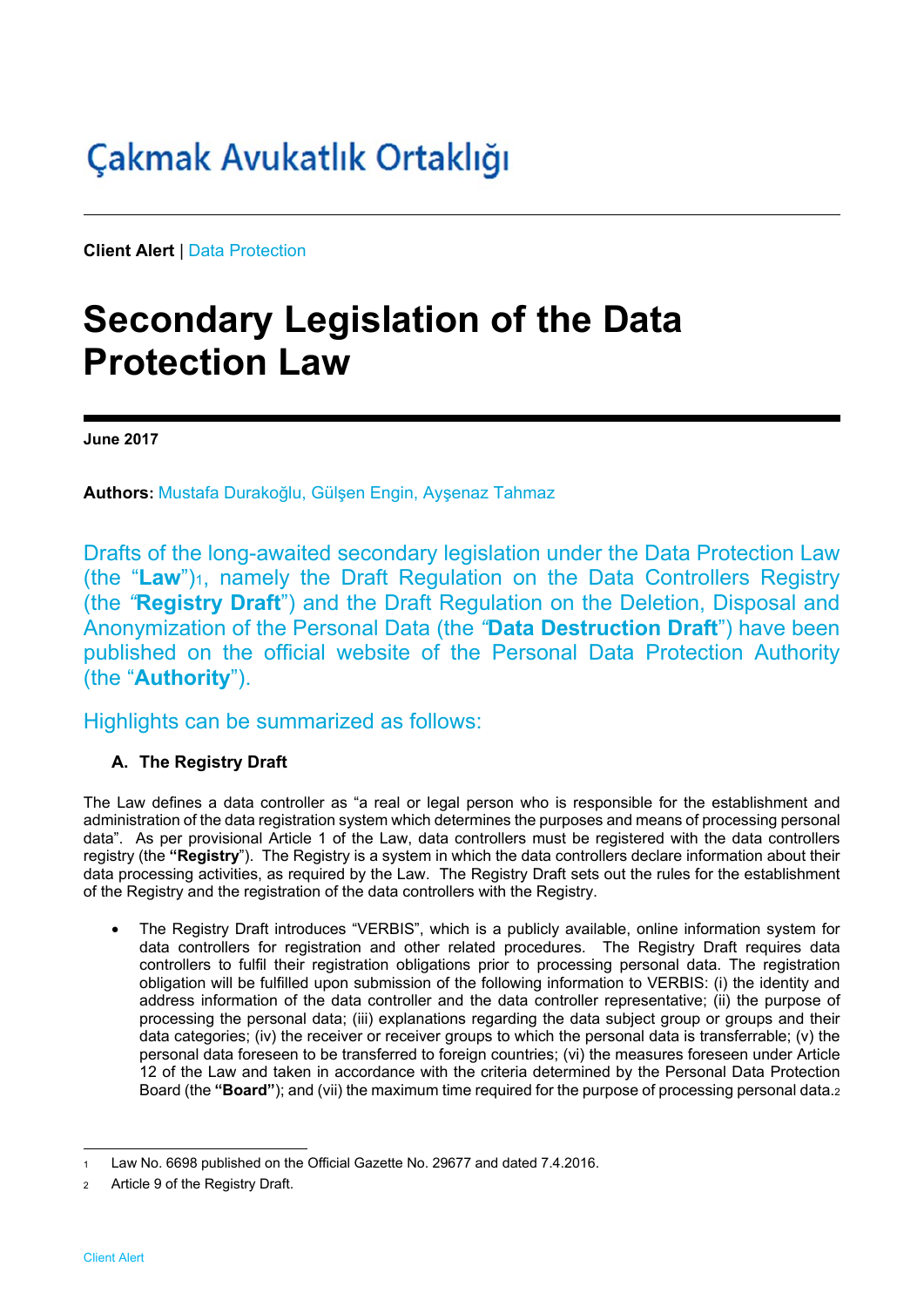# Çakmak Avukatlık Ortaklığı

**Client Alert** | Data Protection

## **Secondary Legislation of the Data Protection Law**

**June 2017** 

**Authors:** Mustafa Durakoğlu, Gülşen Engin, Ayşenaz Tahmaz

Drafts of the long-awaited secondary legislation under the Data Protection Law (the "**Law**")<sub>1</sub>, namely the Draft Regulation on the Data Controllers Registry (the *"***Registry Draft**") and the Draft Regulation on the Deletion, Disposal and Anonymization of the Personal Data (the *"***Data Destruction Draft**") have been published on the official website of the Personal Data Protection Authority (the "**Authority**").

### Highlights can be summarized as follows:

### **A. The Registry Draft**

The Law defines a data controller as "a real or legal person who is responsible for the establishment and administration of the data registration system which determines the purposes and means of processing personal data". As per provisional Article 1 of the Law, data controllers must be registered with the data controllers registry (the **"Registry**"). The Registry is a system in which the data controllers declare information about their data processing activities, as required by the Law. The Registry Draft sets out the rules for the establishment of the Registry and the registration of the data controllers with the Registry.

• The Registry Draft introduces "VERBIS", which is a publicly available, online information system for data controllers for registration and other related procedures. The Registry Draft requires data controllers to fulfil their registration obligations prior to processing personal data. The registration obligation will be fulfilled upon submission of the following information to VERBIS: (i) the identity and address information of the data controller and the data controller representative; (ii) the purpose of processing the personal data; (iii) explanations regarding the data subject group or groups and their data categories; (iv) the receiver or receiver groups to which the personal data is transferrable; (v) the personal data foreseen to be transferred to foreign countries; (vi) the measures foreseen under Article 12 of the Law and taken in accordance with the criteria determined by the Personal Data Protection Board (the **"Board"**); and (vii) the maximum time required for the purpose of processing personal data.2

l Law No. 6698 published on the Official Gazette No. 29677 and dated 7.4.2016.

Article 9 of the Registry Draft.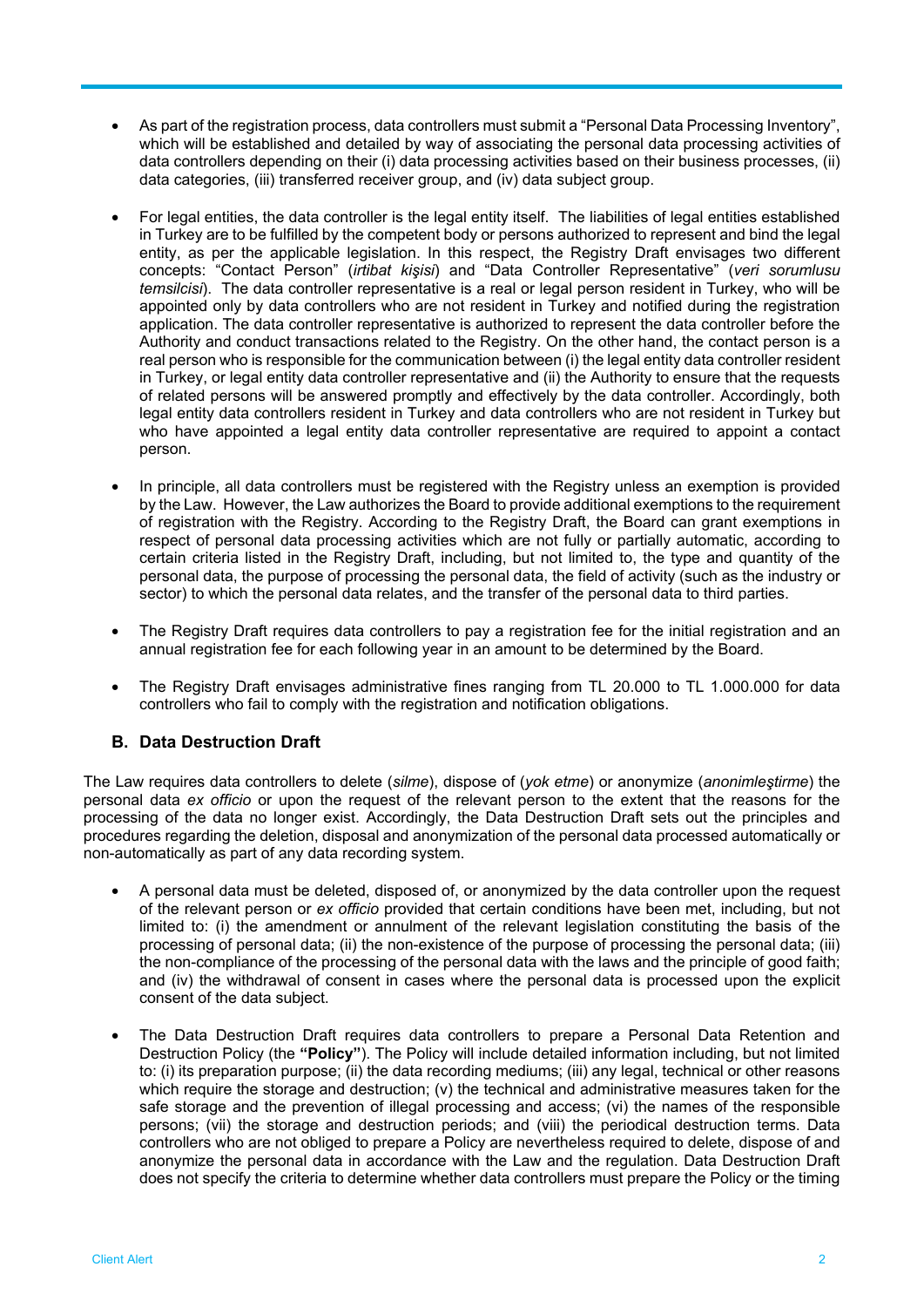- As part of the registration process, data controllers must submit a "Personal Data Processing Inventory", which will be established and detailed by way of associating the personal data processing activities of data controllers depending on their (i) data processing activities based on their business processes, (ii) data categories, (iii) transferred receiver group, and (iv) data subject group.
- For legal entities, the data controller is the legal entity itself. The liabilities of legal entities established in Turkey are to be fulfilled by the competent body or persons authorized to represent and bind the legal entity, as per the applicable legislation. In this respect, the Registry Draft envisages two different concepts: "Contact Person" (*irtibat kişisi*) and "Data Controller Representative" (*veri sorumlusu temsilcisi*). The data controller representative is a real or legal person resident in Turkey, who will be appointed only by data controllers who are not resident in Turkey and notified during the registration application. The data controller representative is authorized to represent the data controller before the Authority and conduct transactions related to the Registry. On the other hand, the contact person is a real person who is responsible for the communication between (i) the legal entity data controller resident in Turkey, or legal entity data controller representative and (ii) the Authority to ensure that the requests of related persons will be answered promptly and effectively by the data controller. Accordingly, both legal entity data controllers resident in Turkey and data controllers who are not resident in Turkey but who have appointed a legal entity data controller representative are required to appoint a contact person.
- In principle, all data controllers must be registered with the Registry unless an exemption is provided by the Law. However, the Law authorizes the Board to provide additional exemptions to the requirement of registration with the Registry. According to the Registry Draft, the Board can grant exemptions in respect of personal data processing activities which are not fully or partially automatic, according to certain criteria listed in the Registry Draft, including, but not limited to, the type and quantity of the personal data, the purpose of processing the personal data, the field of activity (such as the industry or sector) to which the personal data relates, and the transfer of the personal data to third parties.
- The Registry Draft requires data controllers to pay a registration fee for the initial registration and an annual registration fee for each following year in an amount to be determined by the Board.
- The Registry Draft envisages administrative fines ranging from TL 20.000 to TL 1.000.000 for data controllers who fail to comply with the registration and notification obligations.

#### **B. Data Destruction Draft**

The Law requires data controllers to delete (*silme*), dispose of (*yok etme*) or anonymize (*anonimleştirme*) the personal data *ex officio* or upon the request of the relevant person to the extent that the reasons for the processing of the data no longer exist. Accordingly, the Data Destruction Draft sets out the principles and procedures regarding the deletion, disposal and anonymization of the personal data processed automatically or non-automatically as part of any data recording system.

- A personal data must be deleted, disposed of, or anonymized by the data controller upon the request of the relevant person or *ex officio* provided that certain conditions have been met, including, but not limited to: (i) the amendment or annulment of the relevant legislation constituting the basis of the processing of personal data; (ii) the non-existence of the purpose of processing the personal data; (iii) the non-compliance of the processing of the personal data with the laws and the principle of good faith; and (iv) the withdrawal of consent in cases where the personal data is processed upon the explicit consent of the data subject.
- The Data Destruction Draft requires data controllers to prepare a Personal Data Retention and Destruction Policy (the **"Policy"**). The Policy will include detailed information including, but not limited to: (i) its preparation purpose; (ii) the data recording mediums; (iii) any legal, technical or other reasons which require the storage and destruction; (v) the technical and administrative measures taken for the safe storage and the prevention of illegal processing and access; (vi) the names of the responsible persons; (vii) the storage and destruction periods; and (viii) the periodical destruction terms. Data controllers who are not obliged to prepare a Policy are nevertheless required to delete, dispose of and anonymize the personal data in accordance with the Law and the regulation. Data Destruction Draft does not specify the criteria to determine whether data controllers must prepare the Policy or the timing